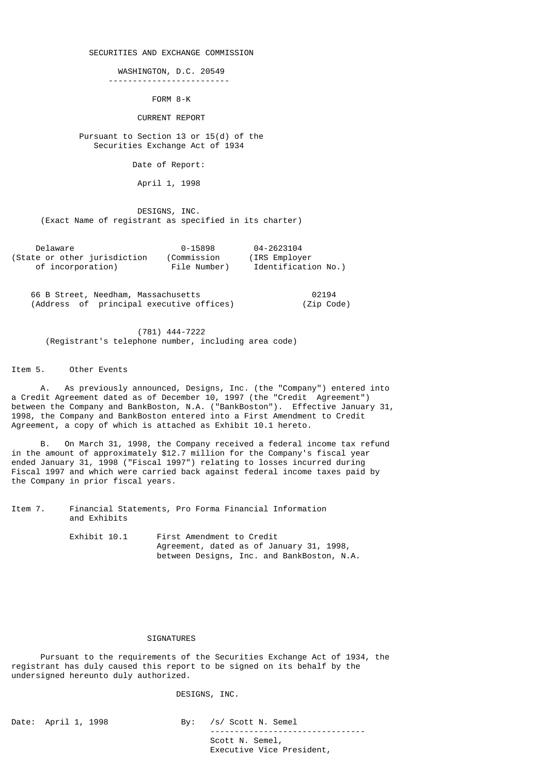### SECURITIES AND EXCHANGE COMMISSION

### WASHINGTON, D.C. 20549

-------------------------

FORM 8-K

#### CURRENT REPORT

# Pursuant to Section 13 or 15(d) of the Securities Exchange Act of 1934

Date of Report:

April 1, 1998

 DESIGNS, INC. (Exact Name of registrant as specified in its charter)

| Delaware                     | 0-15898      | 04-2623104          |
|------------------------------|--------------|---------------------|
| (State or other jurisdiction | (Commission  | (IRS Employer)      |
| of incorporation)            | File Number) | Identification No.) |

 66 B Street, Needham, Massachusetts 02194 (Address of principal executive offices) (Zip Code)

 (781) 444-7222 (Registrant's telephone number, including area code)

Item 5. Other Events

 A. As previously announced, Designs, Inc. (the "Company") entered into a Credit Agreement dated as of December 10, 1997 (the "Credit Agreement") between the Company and BankBoston, N.A. ("BankBoston"). Effective January 31, 1998, the Company and BankBoston entered into a First Amendment to Credit Agreement, a copy of which is attached as Exhibit 10.1 hereto.

 B. On March 31, 1998, the Company received a federal income tax refund in the amount of approximately \$12.7 million for the Company's fiscal year ended January 31, 1998 ("Fiscal 1997") relating to losses incurred during Fiscal 1997 and which were carried back against federal income taxes paid by the Company in prior fiscal years.

Item 7. Financial Statements, Pro Forma Financial Information and Exhibits

| Exhibit 10.1 | First Amendment to Credit                  |
|--------------|--------------------------------------------|
|              | Agreement, dated as of January 31, 1998,   |
|              | between Designs, Inc. and BankBoston, N.A. |

# SIGNATURES

 Pursuant to the requirements of the Securities Exchange Act of 1934, the registrant has duly caused this report to be signed on its behalf by the undersigned hereunto duly authorized.

DESIGNS, INC.

Date: April 1, 1998 By: /s/ Scott N. Semel

 -------------------------------- Scott N. Semel, Executive Vice President,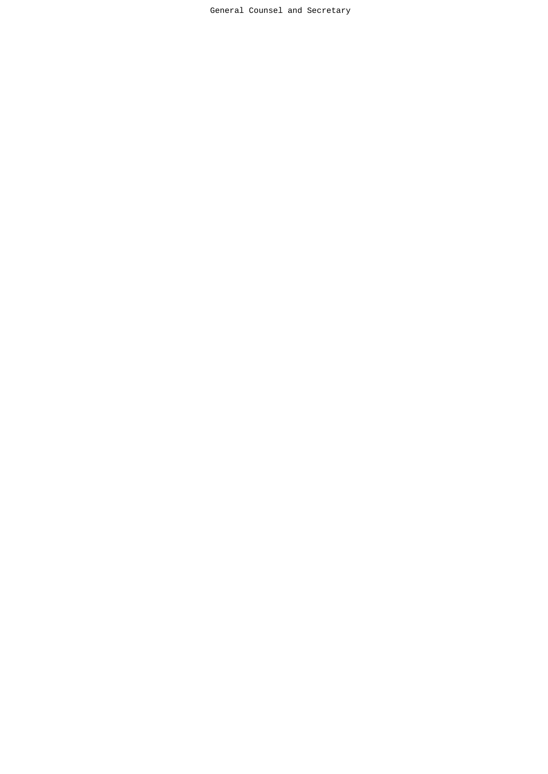General Counsel and Secretary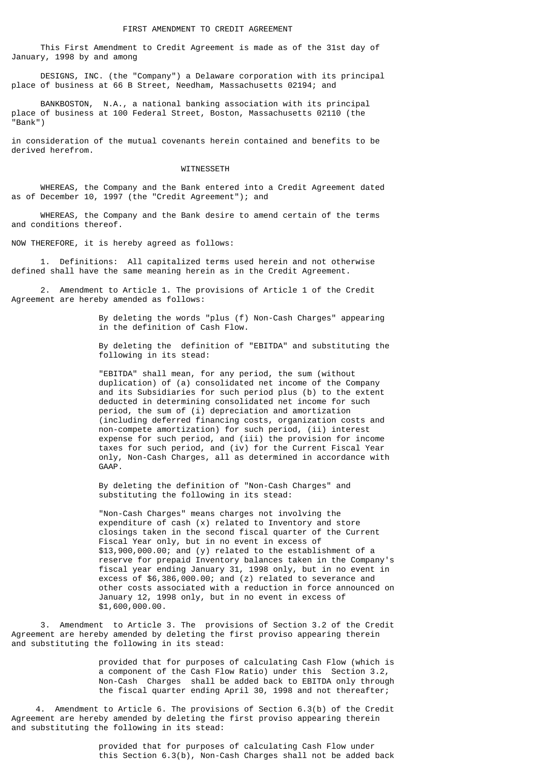This First Amendment to Credit Agreement is made as of the 31st day of January, 1998 by and among

 DESIGNS, INC. (the "Company") a Delaware corporation with its principal place of business at 66 B Street, Needham, Massachusetts 02194; and

 BANKBOSTON, N.A., a national banking association with its principal place of business at 100 Federal Street, Boston, Massachusetts 02110 (the "Bank")

in consideration of the mutual covenants herein contained and benefits to be derived herefrom.

#### WITNESSETH

 WHEREAS, the Company and the Bank entered into a Credit Agreement dated as of December 10, 1997 (the "Credit Agreement"); and

 WHEREAS, the Company and the Bank desire to amend certain of the terms and conditions thereof.

NOW THEREFORE, it is hereby agreed as follows:

 1. Definitions: All capitalized terms used herein and not otherwise defined shall have the same meaning herein as in the Credit Agreement.

 2. Amendment to Article 1. The provisions of Article 1 of the Credit Agreement are hereby amended as follows:

> By deleting the words "plus (f) Non-Cash Charges" appearing in the definition of Cash Flow.

 By deleting the definition of "EBITDA" and substituting the following in its stead:

 "EBITDA" shall mean, for any period, the sum (without duplication) of (a) consolidated net income of the Company and its Subsidiaries for such period plus (b) to the extent deducted in determining consolidated net income for such period, the sum of (i) depreciation and amortization (including deferred financing costs, organization costs and non-compete amortization) for such period, (ii) interest expense for such period, and (iii) the provision for income taxes for such period, and (iv) for the Current Fiscal Year only, Non-Cash Charges, all as determined in accordance with GAAP.

> By deleting the definition of "Non-Cash Charges" and substituting the following in its stead:

 "Non-Cash Charges" means charges not involving the expenditure of cash (x) related to Inventory and store closings taken in the second fiscal quarter of the Current Fiscal Year only, but in no event in excess of \$13,900,000.00; and (y) related to the establishment of a reserve for prepaid Inventory balances taken in the Company's fiscal year ending January 31, 1998 only, but in no event in excess of \$6,386,000.00; and (z) related to severance and other costs associated with a reduction in force announced on January 12, 1998 only, but in no event in excess of \$1,600,000.00.

 3. Amendment to Article 3. The provisions of Section 3.2 of the Credit Agreement are hereby amended by deleting the first proviso appearing therein and substituting the following in its stead:

 provided that for purposes of calculating Cash Flow (which is a component of the Cash Flow Ratio) under this Section 3.2, Non-Cash Charges shall be added back to EBITDA only through the fiscal quarter ending April 30, 1998 and not thereafter;

 4. Amendment to Article 6. The provisions of Section 6.3(b) of the Credit Agreement are hereby amended by deleting the first proviso appearing therein and substituting the following in its stead:

> provided that for purposes of calculating Cash Flow under this Section 6.3(b), Non-Cash Charges shall not be added back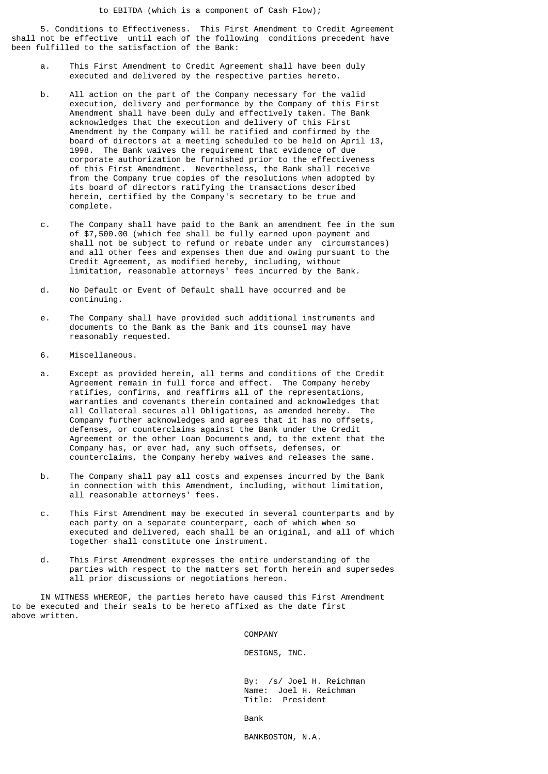5. Conditions to Effectiveness. This First Amendment to Credit Agreement shall not be effective until each of the following conditions precedent have been fulfilled to the satisfaction of the Bank:

- a. This First Amendment to Credit Agreement shall have been duly executed and delivered by the respective parties hereto.
- b. All action on the part of the Company necessary for the valid execution, delivery and performance by the Company of this First Amendment shall have been duly and effectively taken. The Bank acknowledges that the execution and delivery of this First Amendment by the Company will be ratified and confirmed by the board of directors at a meeting scheduled to be held on April 13, 1998. The Bank waives the requirement that evidence of due corporate authorization be furnished prior to the effectiveness of this First Amendment. Nevertheless, the Bank shall receive from the Company true copies of the resolutions when adopted by its board of directors ratifying the transactions described herein, certified by the Company's secretary to be true and complete.
- c. The Company shall have paid to the Bank an amendment fee in the sum of \$7,500.00 (which fee shall be fully earned upon payment and shall not be subject to refund or rebate under any circumstances) and all other fees and expenses then due and owing pursuant to the Credit Agreement, as modified hereby, including, without limitation, reasonable attorneys' fees incurred by the Bank.
- d. No Default or Event of Default shall have occurred and be continuing.
- e. The Company shall have provided such additional instruments and documents to the Bank as the Bank and its counsel may have reasonably requested.
- 6. Miscellaneous.
- a. Except as provided herein, all terms and conditions of the Credit Agreement remain in full force and effect. The Company hereby ratifies, confirms, and reaffirms all of the representations, warranties and covenants therein contained and acknowledges that all Collateral secures all Obligations, as amended hereby. The Company further acknowledges and agrees that it has no offsets, defenses, or counterclaims against the Bank under the Credit Agreement or the other Loan Documents and, to the extent that the Company has, or ever had, any such offsets, defenses, or counterclaims, the Company hereby waives and releases the same.
- b. The Company shall pay all costs and expenses incurred by the Bank in connection with this Amendment, including, without limitation, all reasonable attorneys' fees.
- c. This First Amendment may be executed in several counterparts and by each party on a separate counterpart, each of which when so executed and delivered, each shall be an original, and all of which together shall constitute one instrument.
- d. This First Amendment expresses the entire understanding of the parties with respect to the matters set forth herein and supersedes all prior discussions or negotiations hereon.

 IN WITNESS WHEREOF, the parties hereto have caused this First Amendment to be executed and their seals to be hereto affixed as the date first above written.

COMPANY

DESIGNS, INC.

 By: /s/ Joel H. Reichman Name: Joel H. Reichman Title: President

and the contract of the contract of the contract of the Bank

BANKBOSTON, N.A.